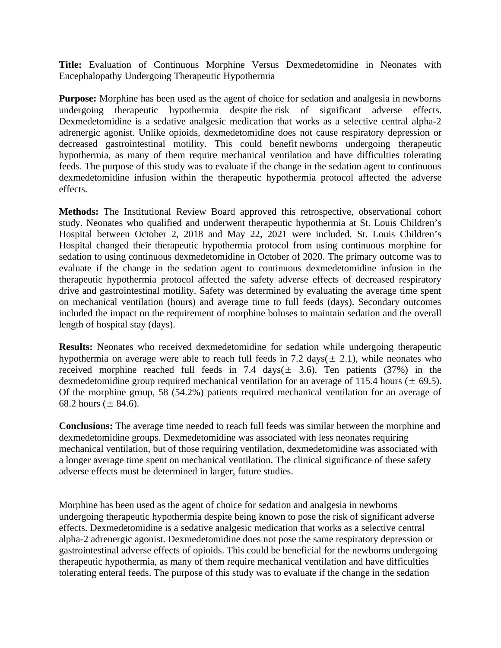**Title:** Evaluation of Continuous Morphine Versus Dexmedetomidine in Neonates with Encephalopathy Undergoing Therapeutic Hypothermia

**Purpose:** Morphine has been used as the agent of choice for sedation and analgesia in newborns undergoing therapeutic hypothermia despite the risk of significant adverse effects. Dexmedetomidine is a sedative analgesic medication that works as a selective central alpha-2 adrenergic agonist. Unlike opioids, dexmedetomidine does not cause respiratory depression or decreased gastrointestinal motility. This could benefit newborns undergoing therapeutic hypothermia, as many of them require mechanical ventilation and have difficulties tolerating feeds. The purpose of this study was to evaluate if the change in the sedation agent to continuous dexmedetomidine infusion within the therapeutic hypothermia protocol affected the adverse effects.

**Methods:** The Institutional Review Board approved this retrospective, observational cohort study. Neonates who qualified and underwent therapeutic hypothermia at St. Louis Children's Hospital between October 2, 2018 and May 22, 2021 were included. St. Louis Children's Hospital changed their therapeutic hypothermia protocol from using continuous morphine for sedation to using continuous dexmedetomidine in October of 2020. The primary outcome was to evaluate if the change in the sedation agent to continuous dexmedetomidine infusion in the therapeutic hypothermia protocol affected the safety adverse effects of decreased respiratory drive and gastrointestinal motility. Safety was determined by evaluating the average time spent on mechanical ventilation (hours) and average time to full feeds (days). Secondary outcomes included the impact on the requirement of morphine boluses to maintain sedation and the overall length of hospital stay (days).

**Results:** Neonates who received dexmedetomidine for sedation while undergoing therapeutic hypothermia on average were able to reach full feeds in 7.2 days( $\pm$  2.1), while neonates who received morphine reached full feeds in 7.4 days( $\pm$  3.6). Ten patients (37%) in the dexmedetomidine group required mechanical ventilation for an average of 115.4 hours ( $\pm$  69.5). Of the morphine group, 58 (54.2%) patients required mechanical ventilation for an average of 68.2 hours ( $\pm$  84.6).

**Conclusions:** The average time needed to reach full feeds was similar between the morphine and dexmedetomidine groups. Dexmedetomidine was associated with less neonates requiring mechanical ventilation, but of those requiring ventilation, dexmedetomidine was associated with a longer average time spent on mechanical ventilation. The clinical significance of these safety adverse effects must be determined in larger, future studies.

Morphine has been used as the agent of choice for sedation and analgesia in newborns undergoing therapeutic hypothermia despite being known to pose the risk of significant adverse effects. Dexmedetomidine is a sedative analgesic medication that works as a selective central alpha-2 adrenergic agonist. Dexmedetomidine does not pose the same respiratory depression or gastrointestinal adverse effects of opioids. This could be beneficial for the newborns undergoing therapeutic hypothermia, as many of them require mechanical ventilation and have difficulties tolerating enteral feeds. The purpose of this study was to evaluate if the change in the sedation